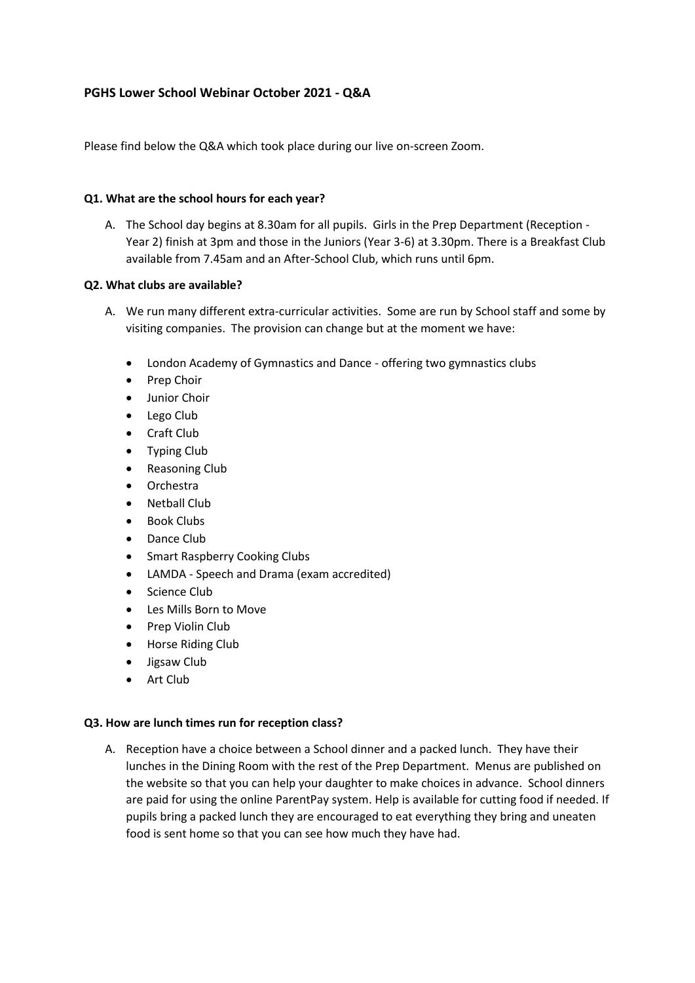# **PGHS Lower School Webinar October 2021 - Q&A**

Please find below the Q&A which took place during our live on-screen Zoom.

## **Q1. What are the school hours for each year?**

A. The School day begins at 8.30am for all pupils. Girls in the Prep Department (Reception - Year 2) finish at 3pm and those in the Juniors (Year 3-6) at 3.30pm. There is a Breakfast Club available from 7.45am and an After-School Club, which runs until 6pm.

## **Q2. What clubs are available?**

- A. We run many different extra-curricular activities. Some are run by School staff and some by visiting companies. The provision can change but at the moment we have:
	- London Academy of Gymnastics and Dance offering two gymnastics clubs
	- Prep Choir
	- Junior Choir
	- Lego Club
	- Craft Club
	- Typing Club
	- Reasoning Club
	- Orchestra
	- Netball Club
	- Book Clubs
	- Dance Club
	- Smart Raspberry Cooking Clubs
	- LAMDA Speech and Drama (exam accredited)
	- Science Club
	- Les Mills Born to Move
	- Prep Violin Club
	- Horse Riding Club
	- Jigsaw Club
	- Art Club

## **Q3. How are lunch times run for reception class?**

A. Reception have a choice between a School dinner and a packed lunch. They have their lunches in the Dining Room with the rest of the Prep Department. Menus are published on the website so that you can help your daughter to make choices in advance. School dinners are paid for using the online ParentPay system. Help is available for cutting food if needed. If pupils bring a packed lunch they are encouraged to eat everything they bring and uneaten food is sent home so that you can see how much they have had.